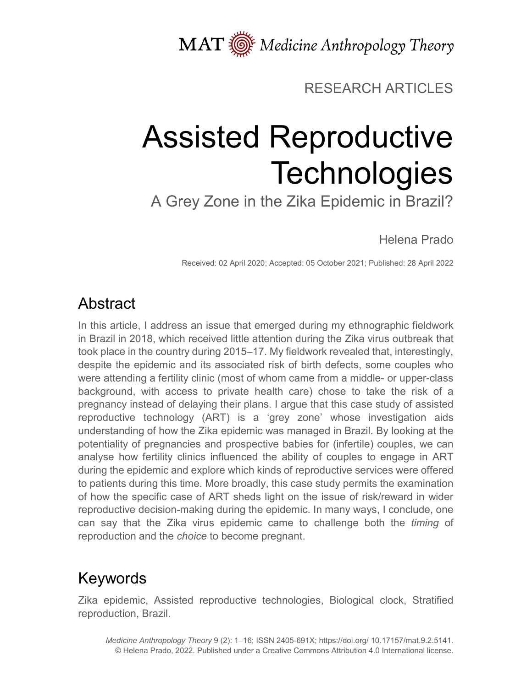MAT  $\overline{\text{W}}$  Medicine Anthropology Theory

## RESEARCH ARTICLES

# Assisted Reproductive **Technologies**

A Grey Zone in the Zika Epidemic in Brazil?

Helena Prado

Received: 02 April 2020; Accepted: 05 October 2021; Published: 28 April 2022

# Abstract

In this article, I address an issue that emerged during my ethnographic fieldwork in Brazil in 2018, which received little attention during the Zika virus outbreak that took place in the country during 2015–17. My fieldwork revealed that, interestingly, despite the epidemic and its associated risk of birth defects, some couples who were attending a fertility clinic (most of whom came from a middle- or upper-class background, with access to private health care) chose to take the risk of a pregnancy instead of delaying their plans. I argue that this case study of assisted reproductive technology (ART) is a 'grey zone' whose investigation aids understanding of how the Zika epidemic was managed in Brazil. By looking at the potentiality of pregnancies and prospective babies for (infertile) couples, we can analyse how fertility clinics influenced the ability of couples to engage in ART during the epidemic and explore which kinds of reproductive services were offered to patients during this time. More broadly, this case study permits the examination of how the specific case of ART sheds light on the issue of risk/reward in wider reproductive decision-making during the epidemic. In many ways, I conclude, one can say that the Zika virus epidemic came to challenge both the *timing* of reproduction and the *choice* to become pregnant.

# Keywords

Zika epidemic, Assisted reproductive technologies, Biological clock, Stratified reproduction, Brazil.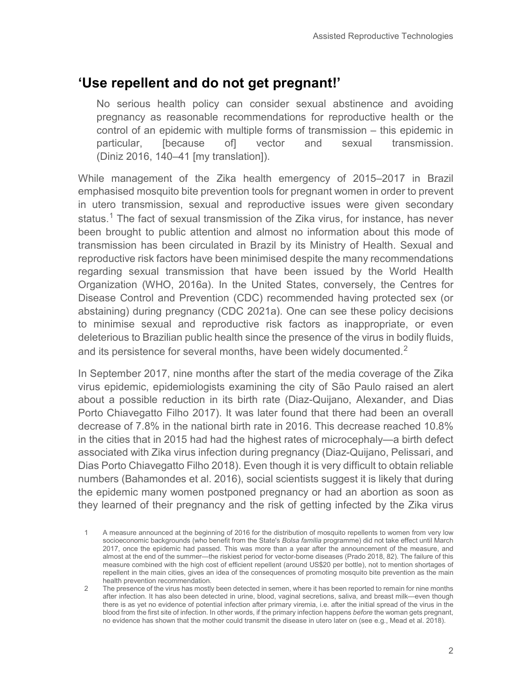## **'Use repellent and do not get pregnant!'**

No serious health policy can consider sexual abstinence and avoiding pregnancy as reasonable recommendations for reproductive health or the control of an epidemic with multiple forms of transmission – this epidemic in particular, [because of] vector and sexual transmission. (Diniz 2016, 140–41 [my translation]).

While management of the Zika health emergency of 2015–2017 in Brazil emphasised mosquito bite prevention tools for pregnant women in order to prevent in utero transmission, sexual and reproductive issues were given secondary status.<sup>[1](#page-1-0)</sup> The fact of sexual transmission of the Zika virus, for instance, has never been brought to public attention and almost no information about this mode of transmission has been circulated in Brazil by its Ministry of Health. Sexual and reproductive risk factors have been minimised despite the many recommendations regarding sexual transmission that have been issued by the World Health Organization (WHO, 2016a). In the United States, conversely, the Centres for Disease Control and Prevention (CDC) recommended having protected sex (or abstaining) during pregnancy (CDC 2021a). One can see these policy decisions to minimise sexual and reproductive risk factors as inappropriate, or even deleterious to Brazilian public health since the presence of the virus in bodily fluids, and its persistence for several months, have been widely documented. $2^2$  $2^2$ 

In September 2017, nine months after the start of the media coverage of the Zika virus epidemic, epidemiologists examining the city of São Paulo raised an alert about a possible reduction in its birth rate (Diaz-Quijano, Alexander, and Dias Porto Chiavegatto Filho 2017). It was later found that there had been an overall decrease of 7.8% in the national birth rate in 2016. This decrease reached 10.8% in the cities that in 2015 had had the highest rates of microcephaly—a birth defect associated with Zika virus infection during pregnancy (Diaz-Quijano, Pelissari, and Dias Porto Chiavegatto Filho 2018). Even though it is very difficult to obtain reliable numbers (Bahamondes et al. 2016), social scientists suggest it is likely that during the epidemic many women postponed pregnancy or had an abortion as soon as they learned of their pregnancy and the risk of getting infected by the Zika virus

<span id="page-1-0"></span><sup>1</sup> A measure announced at the beginning of 2016 for the distribution of mosquito repellents to women from very low socioeconomic backgrounds (who benefit from the State's *Bolsa família* programme) did not take effect until March 2017, once the epidemic had passed. This was more than a year after the announcement of the measure, and almost at the end of the summer—the riskiest period for vector-borne diseases (Prado 2018, 82). The failure of this measure combined with the high cost of efficient repellent (around US\$20 per bottle), not to mention shortages of repellent in the main cities, gives an idea of the consequences of promoting mosquito bite prevention as the main health prevention recommendation.

<span id="page-1-1"></span><sup>2</sup> The presence of the virus has mostly been detected in semen, where it has been reported to remain for nine months after infection. It has also been detected in urine, blood, vaginal secretions, saliva, and breast milk—even though there is as yet no evidence of potential infection after primary viremia, i.e. after the initial spread of the virus in the blood from the first site of infection. In other words, if the primary infection happens *before* the woman gets pregnant, no evidence has shown that the mother could transmit the disease in utero later on (see e.g., Mead et al. 2018).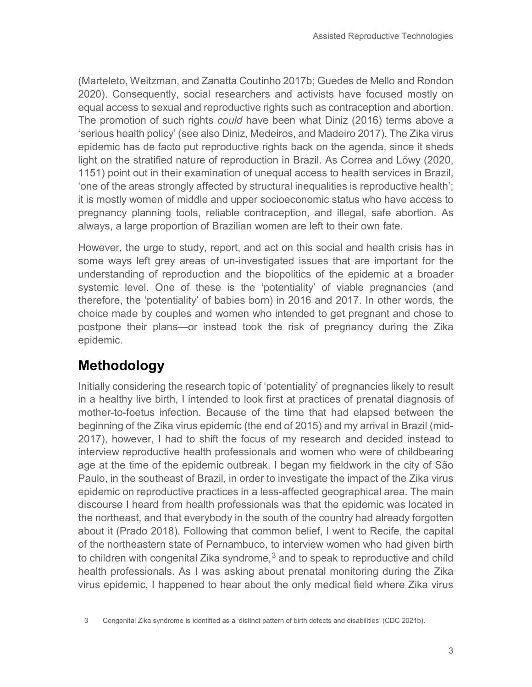(Marteleto, Weitzman, and Zanatta Coutinho 2017b; Guedes de Mello and Rondon 2020). Consequently, social researchers and activists have focused mostly on equal access to sexual and reproductive rights such as contraception and abortion. The promotion of such rights *could* have been what Diniz (2016) terms above a 'serious health policy' (see also Diniz, Medeiros, and Madeiro 2017). The Zika virus epidemic has de facto put reproductive rights back on the agenda, since it sheds light on the stratified nature of reproduction in Brazil. As Correa and Löwy (2020, 1151) point out in their examination of unequal access to health services in Brazil, 'one of the areas strongly affected by structural inequalities is reproductive health'; it is mostly women of middle and upper socioeconomic status who have access to pregnancy planning tools, reliable contraception, and illegal, safe abortion. As always, a large proportion of Brazilian women are left to their own fate.

However, the urge to study, report, and act on this social and health crisis has in some ways left grey areas of un-investigated issues that are important for the understanding of reproduction and the biopolitics of the epidemic at a broader systemic level. One of these is the 'potentiality' of viable pregnancies (and therefore, the 'potentiality' of babies born) in 2016 and 2017. In other words, the choice made by couples and women who intended to get pregnant and chose to postpone their plans—or instead took the risk of pregnancy during the Zika epidemic.

## **Methodology**

Initially considering the research topic of 'potentiality' of pregnancies likely to result in a healthy live birth, I intended to look first at practices of prenatal diagnosis of mother-to-foetus infection. Because of the time that had elapsed between the beginning of the Zika virus epidemic (the end of 2015) and my arrival in Brazil (mid-2017), however, I had to shift the focus of my research and decided instead to interview reproductive health professionals and women who were of childbearing age at the time of the epidemic outbreak. I began my fieldwork in the city of São Paulo, in the southeast of Brazil, in order to investigate the impact of the Zika virus epidemic on reproductive practices in a less-affected geographical area. The main discourse I heard from health professionals was that the epidemic was located in the northeast, and that everybody in the south of the country had already forgotten about it (Prado 2018). Following that common belief, I went to Recife, the capital of the northeastern state of Pernambuco, to interview women who had given birth to children with congenital Zika syndrome, $3$  and to speak to reproductive and child health professionals. As I was asking about prenatal monitoring during the Zika virus epidemic, I happened to hear about the only medical field where Zika virus

<span id="page-2-0"></span><sup>3</sup> Congenital Zika syndrome is identified as a 'distinct pattern of birth defects and disabilities' (CDC 2021b).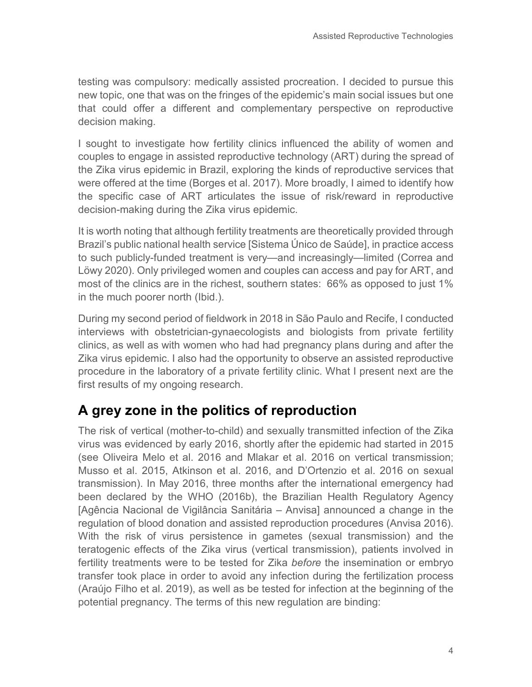testing was compulsory: medically assisted procreation. I decided to pursue this new topic, one that was on the fringes of the epidemic's main social issues but one that could offer a different and complementary perspective on reproductive decision making.

I sought to investigate how fertility clinics influenced the ability of women and couples to engage in assisted reproductive technology (ART) during the spread of the Zika virus epidemic in Brazil, exploring the kinds of reproductive services that were offered at the time (Borges et al. 2017). More broadly, I aimed to identify how the specific case of ART articulates the issue of risk/reward in reproductive decision-making during the Zika virus epidemic.

It is worth noting that although fertility treatments are theoretically provided through Brazil's public national health service [Sistema Único de Saúde], in practice access to such publicly-funded treatment is very—and increasingly—limited (Correa and Löwy 2020). Only privileged women and couples can access and pay for ART, and most of the clinics are in the richest, southern states: 66% as opposed to just 1% in the much poorer north (Ibid.).

During my second period of fieldwork in 2018 in São Paulo and Recife, I conducted interviews with obstetrician-gynaecologists and biologists from private fertility clinics, as well as with women who had had pregnancy plans during and after the Zika virus epidemic. I also had the opportunity to observe an assisted reproductive procedure in the laboratory of a private fertility clinic. What I present next are the first results of my ongoing research.

## **A grey zone in the politics of reproduction**

The risk of vertical (mother-to-child) and sexually transmitted infection of the Zika virus was evidenced by early 2016, shortly after the epidemic had started in 2015 (see Oliveira Melo et al. 2016 and Mlakar et al. 2016 on vertical transmission; Musso et al. 2015, Atkinson et al. 2016, and D'Ortenzio et al. 2016 on sexual transmission). In May 2016, three months after the international emergency had been declared by the WHO (2016b), the Brazilian Health Regulatory Agency [Agência Nacional de Vigilância Sanitária – Anvisa] announced a change in the regulation of blood donation and assisted reproduction procedures (Anvisa 2016). With the risk of virus persistence in gametes (sexual transmission) and the teratogenic effects of the Zika virus (vertical transmission), patients involved in fertility treatments were to be tested for Zika *before* the insemination or embryo transfer took place in order to avoid any infection during the fertilization process (Araújo Filho et al. 2019), as well as be tested for infection at the beginning of the potential pregnancy. The terms of this new regulation are binding: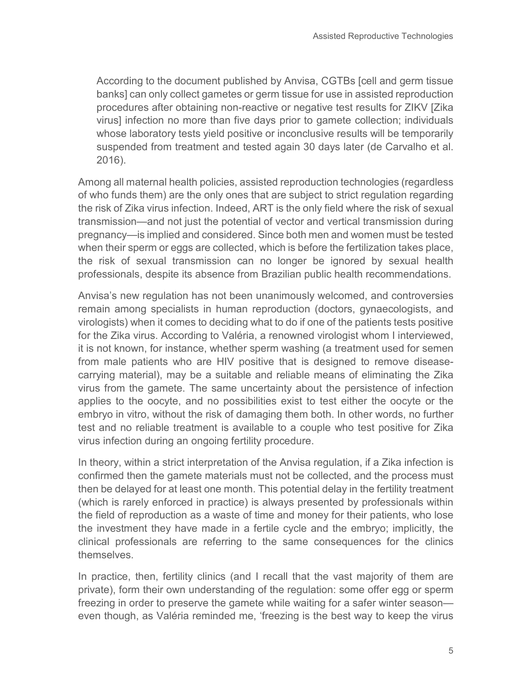According to the document published by Anvisa, CGTBs [cell and germ tissue banks] can only collect gametes or germ tissue for use in assisted reproduction procedures after obtaining non-reactive or negative test results for ZIKV [Zika virus] infection no more than five days prior to gamete collection; individuals whose laboratory tests yield positive or inconclusive results will be temporarily suspended from treatment and tested again 30 days later (de Carvalho et al. 2016).

Among all maternal health policies, assisted reproduction technologies (regardless of who funds them) are the only ones that are subject to strict regulation regarding the risk of Zika virus infection. Indeed, ART is the only field where the risk of sexual transmission—and not just the potential of vector and vertical transmission during pregnancy—is implied and considered. Since both men and women must be tested when their sperm or eggs are collected, which is before the fertilization takes place, the risk of sexual transmission can no longer be ignored by sexual health professionals, despite its absence from Brazilian public health recommendations.

Anvisa's new regulation has not been unanimously welcomed, and controversies remain among specialists in human reproduction (doctors, gynaecologists, and virologists) when it comes to deciding what to do if one of the patients tests positive for the Zika virus. According to Valéria, a renowned virologist whom I interviewed, it is not known, for instance, whether sperm washing (a treatment used for semen from male patients who are HIV positive that is designed to remove diseasecarrying material), may be a suitable and reliable means of eliminating the Zika virus from the gamete. The same uncertainty about the persistence of infection applies to the oocyte, and no possibilities exist to test either the oocyte or the embryo in vitro, without the risk of damaging them both. In other words, no further test and no reliable treatment is available to a couple who test positive for Zika virus infection during an ongoing fertility procedure.

In theory, within a strict interpretation of the Anvisa regulation, if a Zika infection is confirmed then the gamete materials must not be collected, and the process must then be delayed for at least one month. This potential delay in the fertility treatment (which is rarely enforced in practice) is always presented by professionals within the field of reproduction as a waste of time and money for their patients, who lose the investment they have made in a fertile cycle and the embryo; implicitly, the clinical professionals are referring to the same consequences for the clinics themselves.

In practice, then, fertility clinics (and I recall that the vast majority of them are private), form their own understanding of the regulation: some offer egg or sperm freezing in order to preserve the gamete while waiting for a safer winter season even though, as Valéria reminded me, 'freezing is the best way to keep the virus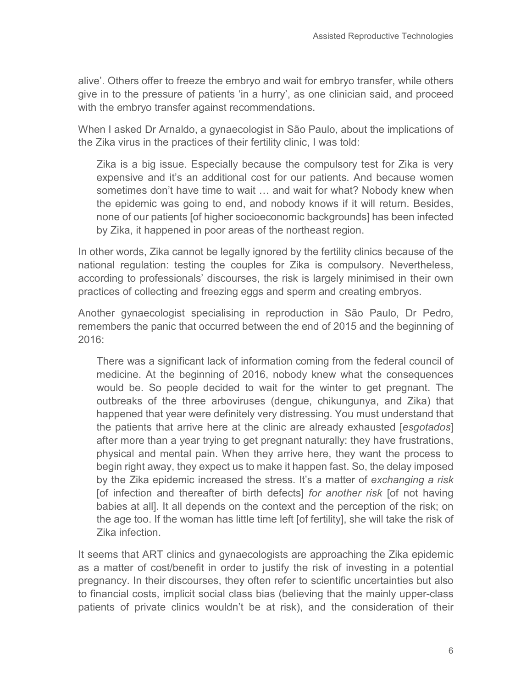alive'. Others offer to freeze the embryo and wait for embryo transfer, while others give in to the pressure of patients 'in a hurry', as one clinician said, and proceed with the embryo transfer against recommendations.

When I asked Dr Arnaldo, a gynaecologist in São Paulo, about the implications of the Zika virus in the practices of their fertility clinic, I was told:

Zika is a big issue. Especially because the compulsory test for Zika is very expensive and it's an additional cost for our patients. And because women sometimes don't have time to wait … and wait for what? Nobody knew when the epidemic was going to end, and nobody knows if it will return. Besides, none of our patients [of higher socioeconomic backgrounds] has been infected by Zika, it happened in poor areas of the northeast region.

In other words, Zika cannot be legally ignored by the fertility clinics because of the national regulation: testing the couples for Zika is compulsory. Nevertheless, according to professionals' discourses, the risk is largely minimised in their own practices of collecting and freezing eggs and sperm and creating embryos.

Another gynaecologist specialising in reproduction in São Paulo, Dr Pedro, remembers the panic that occurred between the end of 2015 and the beginning of 2016:

There was a significant lack of information coming from the federal council of medicine. At the beginning of 2016, nobody knew what the consequences would be. So people decided to wait for the winter to get pregnant. The outbreaks of the three arboviruses (dengue, chikungunya, and Zika) that happened that year were definitely very distressing. You must understand that the patients that arrive here at the clinic are already exhausted [*esgotados*] after more than a year trying to get pregnant naturally: they have frustrations, physical and mental pain. When they arrive here, they want the process to begin right away, they expect us to make it happen fast. So, the delay imposed by the Zika epidemic increased the stress. It's a matter of *exchanging a risk* [of infection and thereafter of birth defects] *for another risk* [of not having babies at all]. It all depends on the context and the perception of the risk; on the age too. If the woman has little time left [of fertility], she will take the risk of Zika infection.

It seems that ART clinics and gynaecologists are approaching the Zika epidemic as a matter of cost/benefit in order to justify the risk of investing in a potential pregnancy. In their discourses, they often refer to scientific uncertainties but also to financial costs, implicit social class bias (believing that the mainly upper-class patients of private clinics wouldn't be at risk), and the consideration of their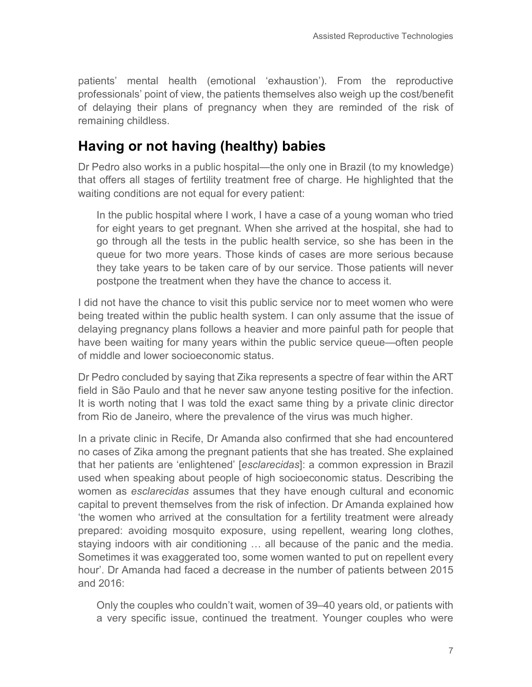patients' mental health (emotional 'exhaustion'). From the reproductive professionals' point of view, the patients themselves also weigh up the cost/benefit of delaying their plans of pregnancy when they are reminded of the risk of remaining childless.

## **Having or not having (healthy) babies**

Dr Pedro also works in a public hospital—the only one in Brazil (to my knowledge) that offers all stages of fertility treatment free of charge. He highlighted that the waiting conditions are not equal for every patient:

In the public hospital where I work, I have a case of a young woman who tried for eight years to get pregnant. When she arrived at the hospital, she had to go through all the tests in the public health service, so she has been in the queue for two more years. Those kinds of cases are more serious because they take years to be taken care of by our service. Those patients will never postpone the treatment when they have the chance to access it.

I did not have the chance to visit this public service nor to meet women who were being treated within the public health system. I can only assume that the issue of delaying pregnancy plans follows a heavier and more painful path for people that have been waiting for many years within the public service queue—often people of middle and lower socioeconomic status.

Dr Pedro concluded by saying that Zika represents a spectre of fear within the ART field in São Paulo and that he never saw anyone testing positive for the infection. It is worth noting that I was told the exact same thing by a private clinic director from Rio de Janeiro, where the prevalence of the virus was much higher.

In a private clinic in Recife, Dr Amanda also confirmed that she had encountered no cases of Zika among the pregnant patients that she has treated. She explained that her patients are 'enlightened' [*esclarecidas*]: a common expression in Brazil used when speaking about people of high socioeconomic status. Describing the women as *esclarecidas* assumes that they have enough cultural and economic capital to prevent themselves from the risk of infection. Dr Amanda explained how 'the women who arrived at the consultation for a fertility treatment were already prepared: avoiding mosquito exposure, using repellent, wearing long clothes, staying indoors with air conditioning … all because of the panic and the media. Sometimes it was exaggerated too, some women wanted to put on repellent every hour'. Dr Amanda had faced a decrease in the number of patients between 2015 and 2016:

Only the couples who couldn't wait, women of 39–40 years old, or patients with a very specific issue, continued the treatment. Younger couples who were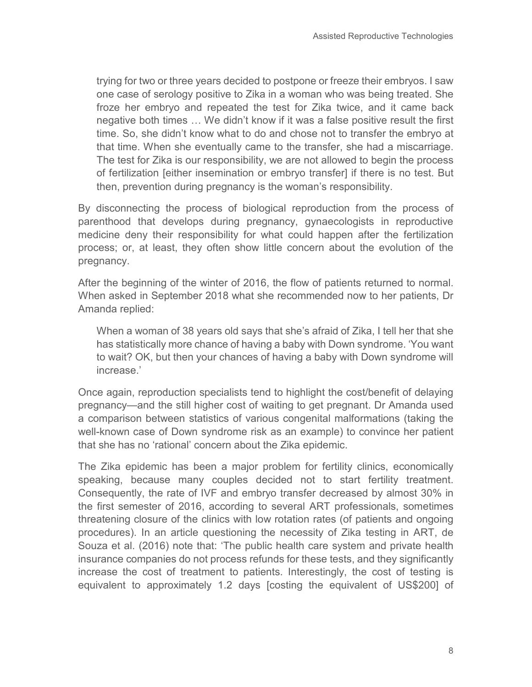trying for two or three years decided to postpone or freeze their embryos. I saw one case of serology positive to Zika in a woman who was being treated. She froze her embryo and repeated the test for Zika twice, and it came back negative both times … We didn't know if it was a false positive result the first time. So, she didn't know what to do and chose not to transfer the embryo at that time. When she eventually came to the transfer, she had a miscarriage. The test for Zika is our responsibility, we are not allowed to begin the process of fertilization [either insemination or embryo transfer] if there is no test. But then, prevention during pregnancy is the woman's responsibility.

By disconnecting the process of biological reproduction from the process of parenthood that develops during pregnancy, gynaecologists in reproductive medicine deny their responsibility for what could happen after the fertilization process; or, at least, they often show little concern about the evolution of the pregnancy.

After the beginning of the winter of 2016, the flow of patients returned to normal. When asked in September 2018 what she recommended now to her patients, Dr Amanda replied:

When a woman of 38 years old says that she's afraid of Zika, I tell her that she has statistically more chance of having a baby with Down syndrome. 'You want to wait? OK, but then your chances of having a baby with Down syndrome will increase.'

Once again, reproduction specialists tend to highlight the cost/benefit of delaying pregnancy—and the still higher cost of waiting to get pregnant. Dr Amanda used a comparison between statistics of various congenital malformations (taking the well-known case of Down syndrome risk as an example) to convince her patient that she has no 'rational' concern about the Zika epidemic.

The Zika epidemic has been a major problem for fertility clinics, economically speaking, because many couples decided not to start fertility treatment. Consequently, the rate of IVF and embryo transfer decreased by almost 30% in the first semester of 2016, according to several ART professionals, sometimes threatening closure of the clinics with low rotation rates (of patients and ongoing procedures). In an article questioning the necessity of Zika testing in ART, de Souza et al. (2016) note that: 'The public health care system and private health insurance companies do not process refunds for these tests, and they significantly increase the cost of treatment to patients. Interestingly, the cost of testing is equivalent to approximately 1.2 days [costing the equivalent of US\$200] of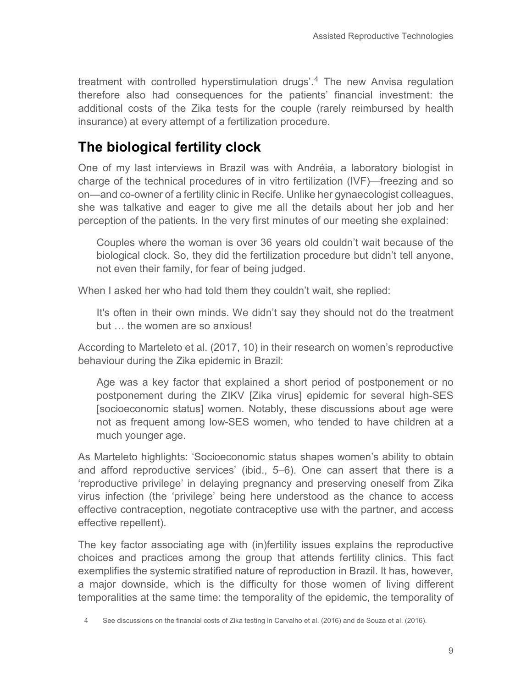treatment with controlled hyperstimulation drugs'.[4](#page-8-0) The new Anvisa regulation therefore also had consequences for the patients' financial investment: the additional costs of the Zika tests for the couple (rarely reimbursed by health insurance) at every attempt of a fertilization procedure.

## **The biological fertility clock**

One of my last interviews in Brazil was with Andréia, a laboratory biologist in charge of the technical procedures of in vitro fertilization (IVF)—freezing and so on—and co-owner of a fertility clinic in Recife. Unlike her gynaecologist colleagues, she was talkative and eager to give me all the details about her job and her perception of the patients. In the very first minutes of our meeting she explained:

Couples where the woman is over 36 years old couldn't wait because of the biological clock. So, they did the fertilization procedure but didn't tell anyone, not even their family, for fear of being judged.

When I asked her who had told them they couldn't wait, she replied:

It's often in their own minds. We didn't say they should not do the treatment but … the women are so anxious!

According to Marteleto et al. (2017, 10) in their research on women's reproductive behaviour during the Zika epidemic in Brazil:

Age was a key factor that explained a short period of postponement or no postponement during the ZIKV [Zika virus] epidemic for several high-SES [socioeconomic status] women. Notably, these discussions about age were not as frequent among low-SES women, who tended to have children at a much younger age.

As Marteleto highlights: 'Socioeconomic status shapes women's ability to obtain and afford reproductive services' (ibid., 5–6). One can assert that there is a 'reproductive privilege' in delaying pregnancy and preserving oneself from Zika virus infection (the 'privilege' being here understood as the chance to access effective contraception, negotiate contraceptive use with the partner, and access effective repellent).

The key factor associating age with (in)fertility issues explains the reproductive choices and practices among the group that attends fertility clinics. This fact exemplifies the systemic stratified nature of reproduction in Brazil. It has, however, a major downside, which is the difficulty for those women of living different temporalities at the same time: the temporality of the epidemic, the temporality of

<span id="page-8-0"></span>See discussions on the financial costs of Zika testing in Carvalho et al. (2016) and de Souza et al. (2016).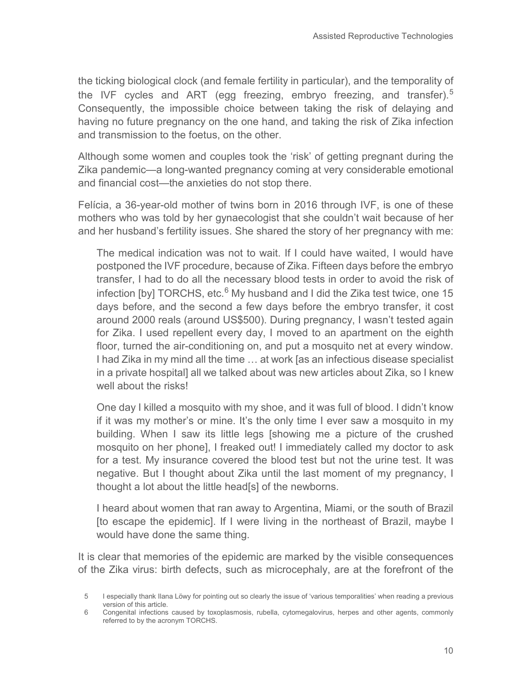the ticking biological clock (and female fertility in particular), and the temporality of the IVF cycles and ART (egg freezing, embryo freezing, and transfer).<sup>[5](#page-9-0)</sup> Consequently, the impossible choice between taking the risk of delaying and having no future pregnancy on the one hand, and taking the risk of Zika infection and transmission to the foetus, on the other.

Although some women and couples took the 'risk' of getting pregnant during the Zika pandemic—a long-wanted pregnancy coming at very considerable emotional and financial cost—the anxieties do not stop there.

Felícia, a 36-year-old mother of twins born in 2016 through IVF, is one of these mothers who was told by her gynaecologist that she couldn't wait because of her and her husband's fertility issues. She shared the story of her pregnancy with me:

The medical indication was not to wait. If I could have waited, I would have postponed the IVF procedure, because of Zika. Fifteen days before the embryo transfer, I had to do all the necessary blood tests in order to avoid the risk of infection [by] TORCHS, etc. $6$  My husband and I did the Zika test twice, one 15 days before, and the second a few days before the embryo transfer, it cost around 2000 reals (around US\$500). During pregnancy, I wasn't tested again for Zika. I used repellent every day, I moved to an apartment on the eighth floor, turned the air-conditioning on, and put a mosquito net at every window. I had Zika in my mind all the time … at work [as an infectious disease specialist in a private hospital] all we talked about was new articles about Zika, so I knew well about the risks!

One day I killed a mosquito with my shoe, and it was full of blood. I didn't know if it was my mother's or mine. It's the only time I ever saw a mosquito in my building. When I saw its little legs [showing me a picture of the crushed mosquito on her phone], I freaked out! I immediately called my doctor to ask for a test. My insurance covered the blood test but not the urine test. It was negative. But I thought about Zika until the last moment of my pregnancy, I thought a lot about the little head[s] of the newborns.

I heard about women that ran away to Argentina, Miami, or the south of Brazil [to escape the epidemic]. If I were living in the northeast of Brazil, maybe I would have done the same thing.

It is clear that memories of the epidemic are marked by the visible consequences of the Zika virus: birth defects, such as microcephaly, are at the forefront of the

<span id="page-9-0"></span><sup>5</sup> I especially thank Ilana Löwy for pointing out so clearly the issue of 'various temporalities' when reading a previous version of this article.

<span id="page-9-1"></span><sup>6</sup> Congenital infections caused by toxoplasmosis, rubella, cytomegalovirus, herpes and other agents, commonly referred to by the acronym TORCHS.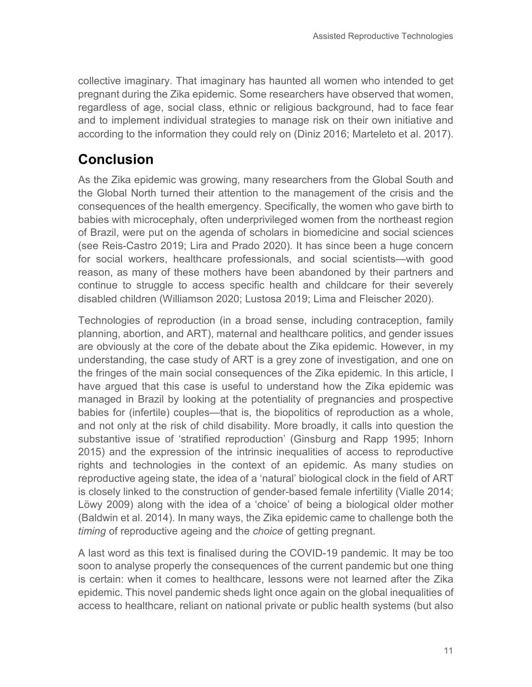collective imaginary. That imaginary has haunted all women who intended to get pregnant during the Zika epidemic. Some researchers have observed that women, regardless of age, social class, ethnic or religious background, had to face fear and to implement individual strategies to manage risk on their own initiative and according to the information they could rely on (Diniz 2016; Marteleto et al. 2017).

#### **Conclusion**

As the Zika epidemic was growing, many researchers from the Global South and the Global North turned their attention to the management of the crisis and the consequences of the health emergency. Specifically, the women who gave birth to babies with microcephaly, often underprivileged women from the northeast region of Brazil, were put on the agenda of scholars in biomedicine and social sciences (see Reis-Castro 2019; Lira and Prado 2020). It has since been a huge concern for social workers, healthcare professionals, and social scientists—with good reason, as many of these mothers have been abandoned by their partners and continue to struggle to access specific health and childcare for their severely disabled children (Williamson 2020; Lustosa 2019; Lima and Fleischer 2020).

Technologies of reproduction (in a broad sense, including contraception, family planning, abortion, and ART), maternal and healthcare politics, and gender issues are obviously at the core of the debate about the Zika epidemic. However, in my understanding, the case study of ART is a grey zone of investigation, and one on the fringes of the main social consequences of the Zika epidemic. In this article, I have argued that this case is useful to understand how the Zika epidemic was managed in Brazil by looking at the potentiality of pregnancies and prospective babies for (infertile) couples—that is, the biopolitics of reproduction as a whole, and not only at the risk of child disability. More broadly, it calls into question the substantive issue of 'stratified reproduction' (Ginsburg and Rapp 1995; Inhorn 2015) and the expression of the intrinsic inequalities of access to reproductive rights and technologies in the context of an epidemic. As many studies on reproductive ageing state, the idea of a 'natural' biological clock in the field of ART is closely linked to the construction of gender-based female infertility (Vialle 2014; Löwy 2009) along with the idea of a 'choice' of being a biological older mother (Baldwin et al. 2014). In many ways, the Zika epidemic came to challenge both the *timing* of reproductive ageing and the *choice* of getting pregnant.

A last word as this text is finalised during the COVID-19 pandemic. It may be too soon to analyse properly the consequences of the current pandemic but one thing is certain: when it comes to healthcare, lessons were not learned after the Zika epidemic. This novel pandemic sheds light once again on the global inequalities of access to healthcare, reliant on national private or public health systems (but also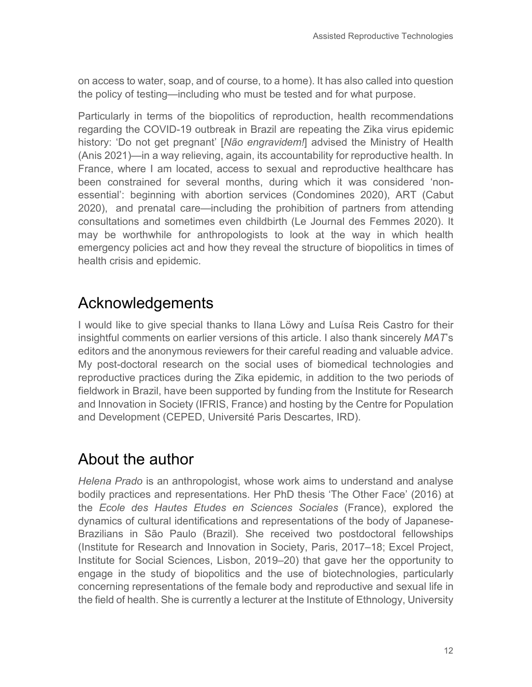on access to water, soap, and of course, to a home). It has also called into question the policy of testing—including who must be tested and for what purpose.

Particularly in terms of the biopolitics of reproduction, health recommendations regarding the COVID-19 outbreak in Brazil are repeating the Zika virus epidemic history: 'Do not get pregnant' [*Não engravidem!*] advised the Ministry of Health (Anis 2021)—in a way relieving, again, its accountability for reproductive health. In France, where I am located, access to sexual and reproductive healthcare has been constrained for several months, during which it was considered 'nonessential': beginning with abortion services (Condomines 2020), ART (Cabut 2020), and prenatal care—including the prohibition of partners from attending consultations and sometimes even childbirth (Le Journal des Femmes 2020). It may be worthwhile for anthropologists to look at the way in which health emergency policies act and how they reveal the structure of biopolitics in times of health crisis and epidemic.

# Acknowledgements

I would like to give special thanks to Ilana Löwy and Luísa Reis Castro for their insightful comments on earlier versions of this article. I also thank sincerely *MAT*'s editors and the anonymous reviewers for their careful reading and valuable advice. My post-doctoral research on the social uses of biomedical technologies and reproductive practices during the Zika epidemic, in addition to the two periods of fieldwork in Brazil, have been supported by funding from the Institute for Research and Innovation in Society (IFRIS, France) and hosting by the Centre for Population and Development (CEPED, Université Paris Descartes, IRD).

## About the author

*Helena Prado* is an anthropologist, whose work aims to understand and analyse bodily practices and representations. Her PhD thesis 'The Other Face' (2016) at the *Ecole des Hautes Etudes en Sciences Sociales* (France), explored the dynamics of cultural identifications and representations of the body of Japanese-Brazilians in São Paulo (Brazil). She received two postdoctoral fellowships (Institute for Research and Innovation in Society, Paris, 2017–18; Excel Project, Institute for Social Sciences, Lisbon, 2019–20) that gave her the opportunity to engage in the study of biopolitics and the use of biotechnologies, particularly concerning representations of the female body and reproductive and sexual life in the field of health. She is currently a lecturer at the Institute of Ethnology, University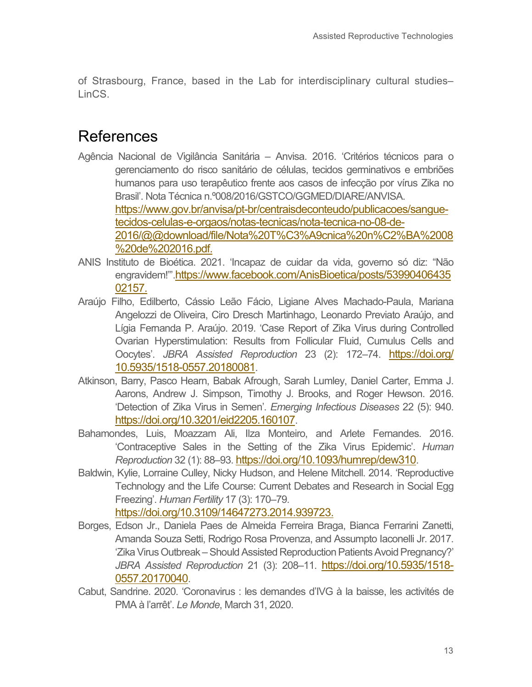of Strasbourg, France, based in the Lab for interdisciplinary cultural studies– LinCS.

## References

- Agência Nacional de Vigilância Sanitária Anvisa. 2016. 'Critérios técnicos para o gerenciamento do risco sanitário de células, tecidos germinativos e embriões humanos para uso terapêutico frente aos casos de infecção por vírus Zika no Brasil'. Nota Técnica n.º008/2016/GSTCO/GGMED/DIARE/ANVISA. [https://www.gov.br/anvisa/pt-br/centraisdeconteudo/publicacoes/sangue](https://www.gov.br/anvisa/pt-br/centraisdeconteudo/publicacoes/sangue-tecidos-celulas-e-orgaos/notas-tecnicas/nota-tecnica-no-08-de-2016/@@download/file/Nota%20T%C3%A9cnica%20n%C2%BA%2008%20de%202016.pdf)[tecidos-celulas-e-orgaos/notas-tecnicas/nota-tecnica-no-08-de-](https://www.gov.br/anvisa/pt-br/centraisdeconteudo/publicacoes/sangue-tecidos-celulas-e-orgaos/notas-tecnicas/nota-tecnica-no-08-de-2016/@@download/file/Nota%20T%C3%A9cnica%20n%C2%BA%2008%20de%202016.pdf)[2016/@@download/file/Nota%20T%C3%A9cnica%20n%C2%BA%2008](https://www.gov.br/anvisa/pt-br/centraisdeconteudo/publicacoes/sangue-tecidos-celulas-e-orgaos/notas-tecnicas/nota-tecnica-no-08-de-2016/@@download/file/Nota%20T%C3%A9cnica%20n%C2%BA%2008%20de%202016.pdf) [%20de%202016.pdf.](https://www.gov.br/anvisa/pt-br/centraisdeconteudo/publicacoes/sangue-tecidos-celulas-e-orgaos/notas-tecnicas/nota-tecnica-no-08-de-2016/@@download/file/Nota%20T%C3%A9cnica%20n%C2%BA%2008%20de%202016.pdf)
- ANIS Instituto de Bioética. 2021. 'Incapaz de cuidar da vida, governo só diz: "Não engravidem!"['.https://www.facebook.com/AnisBioetica/posts/53990406435](https://www.facebook.com/AnisBioetica/posts/5399040643502157) [02157.](https://www.facebook.com/AnisBioetica/posts/5399040643502157)
- Araújo Filho, Edilberto, Cássio Leão Fácio, Ligiane Alves Machado-Paula, Mariana Angelozzi de Oliveira, Ciro Dresch Martinhago, Leonardo Previato Araújo, and Lígia Fernanda P. Araújo. 2019. 'Case Report of Zika Virus during Controlled Ovarian Hyperstimulation: Results from Follicular Fluid, Cumulus Cells and Oocytes'. *JBRA Assisted Reproduction* 23 (2): 172–74. [https://doi.org/](https://doi.org/%2010.5935/1518-0557.20180081) [10.5935/1518-0557.20180081.](https://doi.org/%2010.5935/1518-0557.20180081)
- Atkinson, Barry, Pasco Hearn, Babak Afrough, Sarah Lumley, Daniel Carter, Emma J. Aarons, Andrew J. Simpson, Timothy J. Brooks, and Roger Hewson. 2016. 'Detection of Zika Virus in Semen'. *Emerging Infectious Diseases* 22 (5): 940. [https://doi.org/10.3201/eid2205.160107.](https://doi.org/10.3201/eid2205.160107)
- Bahamondes, Luis, Moazzam Ali, Ilza Monteiro, and Arlete Fernandes. 2016. 'Contraceptive Sales in the Setting of the Zika Virus Epidemic'. *Human Reproduction* 32 (1): 88–93[. https://doi.org/10.1093/humrep/dew310.](https://doi.org/10.1093/humrep/dew310)
- Baldwin, Kylie, Lorraine Culley, Nicky Hudson, and Helene Mitchell. 2014. 'Reproductive Technology and the Life Course: Current Debates and Research in Social Egg Freezing'. *Human Fertility* 17 (3): 170–79. [https://doi.org/10.3109/14647273.2014.939723.](https://doi.org/10.3109/14647273.2014.939723)
- Borges, Edson Jr., Daniela Paes de Almeida Ferreira Braga, Bianca Ferrarini Zanetti, Amanda Souza Setti, Rodrigo Rosa Provenza, and Assumpto Iaconelli Jr. 2017. 'Zika Virus Outbreak – Should Assisted Reproduction Patients Avoid Pregnancy?' *JBRA Assisted Reproduction* 21 (3): 208–11. [https://doi.org/10.5935/1518-](https://doi.org/10.5935/1518-0557.20170040) [0557.20170040.](https://doi.org/10.5935/1518-0557.20170040)
- Cabut, Sandrine. 2020. 'Coronavirus : les demandes d'IVG à la baisse, les activités de PMA à l'arrêt'. *Le Monde*, March 31, 2020.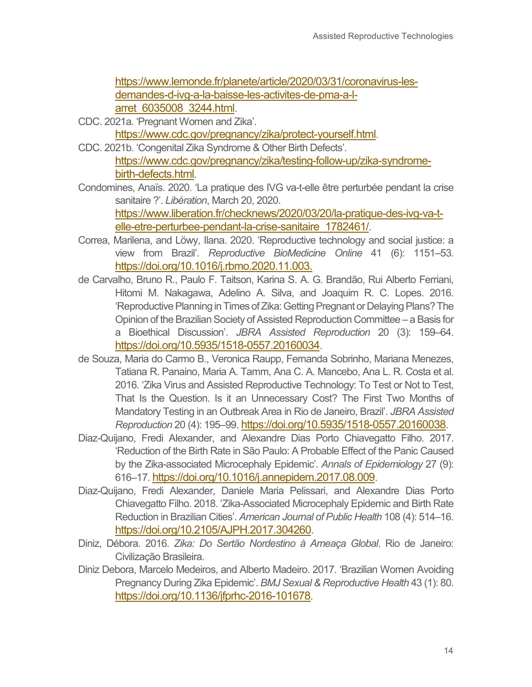[https://www.lemonde.fr/planete/article/2020/03/31/coronavirus-les](https://www.lemonde.fr/planete/article/2020/03/31/coronavirus-les-demandes-d-ivg-a-la-baisse-les-activites-de-pma-a-l-arret_6035008_3244.html)[demandes-d-ivg-a-la-baisse-les-activites-de-pma-a-l](https://www.lemonde.fr/planete/article/2020/03/31/coronavirus-les-demandes-d-ivg-a-la-baisse-les-activites-de-pma-a-l-arret_6035008_3244.html)[arret\\_6035008\\_3244.html.](https://www.lemonde.fr/planete/article/2020/03/31/coronavirus-les-demandes-d-ivg-a-la-baisse-les-activites-de-pma-a-l-arret_6035008_3244.html)

- CDC. 2021a. 'Pregnant Women and Zika'. [https://www.cdc.gov/pregnancy/zika/protect-yourself.html.](https://www.cdc.gov/pregnancy/zika/protect-yourself.html)
- CDC. 2021b. 'Congenital Zika Syndrome & Other Birth Defects'. [https://www.cdc.gov/pregnancy/zika/testing-follow-up/zika-syndrome](https://www.cdc.gov/pregnancy/zika/testing-follow-up/zika-syndrome-birth-defects.html)[birth-defects.html.](https://www.cdc.gov/pregnancy/zika/testing-follow-up/zika-syndrome-birth-defects.html)
- Condomines, Anaïs. 2020. 'La pratique des IVG va-t-elle être perturbée pendant la crise sanitaire ?'. *Libération*, March 20, 2020. [https://www.liberation.fr/checknews/2020/03/20/la-pratique-des-ivg-va-t](https://www.liberation.fr/checknews/2020/03/20/la-pratique-des-ivg-va-t-elle-etre-perturbee-pendant-la-crise-sanitaire_1782461/)[elle-etre-perturbee-pendant-la-crise-sanitaire\\_1782461/.](https://www.liberation.fr/checknews/2020/03/20/la-pratique-des-ivg-va-t-elle-etre-perturbee-pendant-la-crise-sanitaire_1782461/)
- Correa, Marilena, and Löwy, Ilana. 2020. 'Reproductive technology and social justice: a view from Brazil'. *Reproductive BioMedicine Online* 41 (6): 1151–53. [https://doi.org/10.1016/j.rbmo.2020.11.003.](https://doi.org/10.1016/j.rbmo.2020.11.003)
- de Carvalho, Bruno R., Paulo F. Taitson, Karina S. A. G. Brandão, Rui Alberto Ferriani, Hitomi M. Nakagawa, Adelino A. Silva, and Joaquim R. C. Lopes. 2016. 'Reproductive Planning in Times of Zika: Getting Pregnant or Delaying Plans? The Opinion of the Brazilian Society of Assisted Reproduction Committee – a Basis for a Bioethical Discussion'. *JBRA Assisted Reproduction* 20 (3): 159–64. [https://doi.org/10.5935/1518-0557.20160034.](https://doi.org/10.5935/1518-0557.20160034)
- de Souza, Maria do Carmo B., Veronica Raupp, Fernanda Sobrinho, Mariana Menezes, Tatiana R. Panaino, Maria A. Tamm, Ana C. A. Mancebo, Ana L. R. Costa et al. 2016. 'Zika Virus and Assisted Reproductive Technology: To Test or Not to Test, That Is the Question. Is it an Unnecessary Cost? The First Two Months of Mandatory Testing in an Outbreak Area in Rio de Janeiro, Brazil'. *JBRA Assisted Reproduction* 20 (4): 195–99[. https://doi.org/10.5935/1518-0557.20160038.](https://doi.org/10.5935/1518-0557.20160038)
- Diaz-Quijano, Fredi Alexander, and Alexandre Dias Porto Chiavegatto Filho. 2017. 'Reduction of the Birth Rate in São Paulo: A Probable Effect of the Panic Caused by the Zika-associated Microcephaly Epidemic'. *Annals of Epidemiology* 27 (9): 616–17[. https://doi.org/10.1016/j.annepidem.2017.08.009.](https://doi.org/10.1016/j.annepidem.2017.08.009)
- Diaz-Quijano, Fredi Alexander, Daniele Maria Pelissari, and Alexandre Dias Porto Chiavegatto Filho. 2018. 'Zika-Associated Microcephaly Epidemic and Birth Rate Reduction in Brazilian Cities'. *American Journal of Public Health* 108 (4): 514–16. [https://doi.org/10.2105/AJPH.2017.304260.](https://doi.org/10.2105/AJPH.2017.304260)
- Diniz, Débora. 2016. *Zika: Do Sertão Nordestino à Ameaça Global*. Rio de Janeiro: Civilização Brasileira.
- Diniz Debora, Marcelo Medeiros, and Alberto Madeiro. 2017. 'Brazilian Women Avoiding Pregnancy During Zika Epidemic'. *BMJ Sexual & Reproductive Health* 43 (1): 80. [https://doi.org/10.1136/jfprhc-2016-101678.](https://doi.org/10.1136/jfprhc-2016-101678)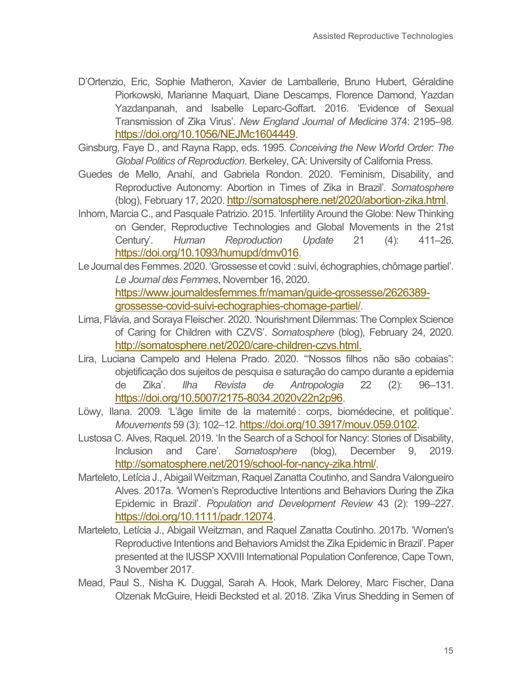- D'Ortenzio, Eric, Sophie Matheron, Xavier de Lamballerie, Bruno Hubert, Géraldine Piorkowski, Marianne Maquart, Diane Descamps, Florence Damond, Yazdan Yazdanpanah, and Isabelle Leparc-Goffart. 2016. 'Evidence of Sexual Transmission of Zika Virus'. *New England Journal of Medicine* 374: 2195–98. [https://doi.org/10.1056/NEJMc1604449.](https://doi.org/10.1056/NEJMc1604449)
- Ginsburg, Faye D., and Rayna Rapp, eds. 1995. *Conceiving the New World Order: The Global Politics of Reproduction*. Berkeley, CA: University of California Press.
- Guedes de Mello, Anahí, and Gabriela Rondon. 2020. 'Feminism, Disability, and Reproductive Autonomy: Abortion in Times of Zika in Brazil'. *Somatosphere* (blog), February 17, 2020. [http://somatosphere.net/2020/abortion-zika.html.](http://somatosphere.net/2020/abortion-zika.html)
- Inhorn, Marcia C., and Pasquale Patrizio. 2015. 'Infertility Around the Globe: New Thinking on Gender, Reproductive Technologies and Global Movements in the 21st Century'. *Human Reproduction Update* 21 (4): 411–26. [https://doi.org/10.1093/humupd/dmv016.](https://doi.org/10.1093/humupd/dmv016)
- Le Journal des Femmes. 2020. 'Grossesse et covid : suivi, échographies, chômage partiel'. *Le Journal des Femmes*, November 16, 2020. [https://www.journaldesfemmes.fr/maman/guide-grossesse/2626389](https://www.journaldesfemmes.fr/maman/guide-grossesse/2626389-grossesse-covid-suivi-echographies-chomage-partiel/) [grossesse-covid-suivi-echographies-chomage-partiel/.](https://www.journaldesfemmes.fr/maman/guide-grossesse/2626389-grossesse-covid-suivi-echographies-chomage-partiel/)
- Lima, Flávia, and Soraya Fleischer. 2020. 'Nourishment Dilemmas: The Complex Science of Caring for Children with CZVS'. *Somatosphere* (blog), February 24, 2020. [http://somatosphere.net/2020/care-children-czvs.html.](http://somatosphere.net/2020/care-children-czvs.html)
- Lira, Luciana Campelo and Helena Prado. 2020. '"Nossos filhos não são cobaias": objetificação dos sujeitos de pesquisa e saturação do campo durante a epidemia de Zika'. *Ilha Revista de Antropologia* 22 (2): 96–131. [https://doi.org/10.5007/2175-8034.2020v22n2p96.](https://doi.org/10.5007/2175-8034.2020v22n2p96)
- Löwy, Ilana. 2009. 'L'âge limite de la maternité : corps, biomédecine, et politique'. *Mouvements* 59 (3): 102–12. [https://doi.org/10.3917/mouv.059.0102.](https://doi.org/10.3917/mouv.059.0102)
- Lustosa C. Alves, Raquel. 2019. 'In the Search of a School for Nancy: Stories of Disability, Inclusion and Care'. *Somatosphere* (blog), December 9, 2019. [http://somatosphere.net/2019/school-for-nancy-zika.html/.](http://somatosphere.net/2019/school-for-nancy-zika.html/)
- Marteleto, Letícia J., Abigail Weitzman, Raquel Zanatta Coutinho, and Sandra Valongueiro Alves. 2017a. 'Women's Reproductive Intentions and Behaviors During the Zika Epidemic in Brazil'. *Population and Development Review* 43 (2): 199–227. [https://doi.org/10.1111/padr.12074.](https://doi.org/10.1111/padr.12074)
- Marteleto, Letícia J., Abigail Weitzman, and Raquel Zanatta Coutinho. 2017b. 'Women's Reproductive Intentions and Behaviors Amidst the Zika Epidemic in Brazil'. Paper presented at the IUSSP XXVIII International Population Conference, Cape Town, 3 November 2017.
- Mead, Paul S., Nisha K. Duggal, Sarah A. Hook, Mark Delorey, Marc Fischer, Dana Olzenak McGuire, Heidi Becksted et al. 2018. 'Zika Virus Shedding in Semen of